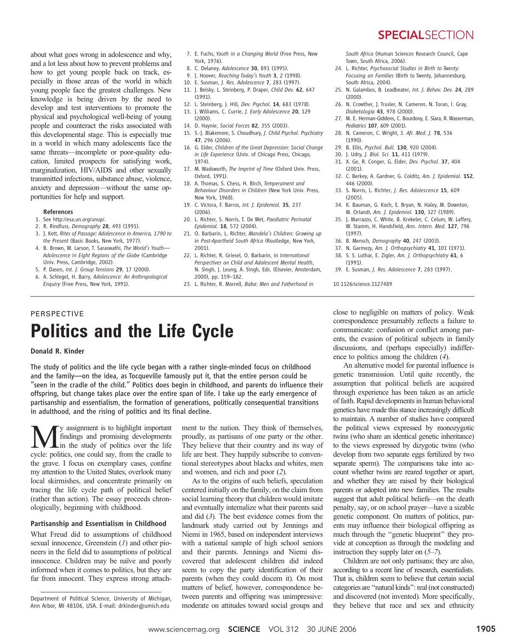about what goes wrong in adolescence and why, and a lot less about how to prevent problems and how to get young people back on track, especially in those areas of the world in which young people face the greatest challenges. New knowledge is being driven by the need to develop and test interventions to promote the physical and psychological well-being of young people and counteract the risks associated with this developmental stage. This is especially true in a world in which many adolescents face the same threats—incomplete or poor-quality education, limited prospects for satisfying work, marginalization, HIV/AIDS and other sexually transmitted infections, substance abuse, violence, anxiety and depression—without the same opportunities for help and support.

#### References

- 1. See http://esa.un.org/unup/.
- 2. R. Rindfuss, Demography 28, 493 (1991).
- 3. J. Kett, Rites of Passage: Adolescence in America, 1790 to the Present (Basic Books, New York, 1977).
- 4. B. Brown, W. Larson, T. Saraswathi, The World's Youth-Adolescence in Eight Regions of the Globe (Cambridge Univ. Press, Cambridge, 2002).
- 5. P. Dasen, Int. J. Group Tensions 29, 17 (2000).
- 6. A. Schlegel, H. Barry, Adolescence: An Anthropological Enquiry (Free Press, New York, 1991).
- 7. E. Fuchs, Youth in a Chanaina World (Free Press, New York, 1976).
- 8. C. Delaney, Adolescence 30, 891 (1995).
- 9. J. Hoover, Reaching Today's Youth 3, 2 (1998).
- 10. E. Susman, J. Res. Adolescence 7, 283 (1997).
- 11. J. Belsky, L. Steinberg, P. Draper, Child Dev. 62, 647 (1991).
- 12. L. Steinberg, J. Hill, Dev. Psychol. 14, 683 (1978). 13. J. Williams, C. Currie, J. Early Adolescence 20, 129 (2000).
- 14. D. Haynie, Social Forces 82, 355 (2003).
- 15. S.-J. Blakemore, S. Choudhury, J. Child Psychol. Psychiatry 47, 296 (2006).
- 16. G. Elder, Children of the Great Depression: Social Change in Life Experience (Univ. of Chicago Press, Chicago, 1974).
- 17. M. Wadsworth, The Imprint of Time (Oxford Univ. Press, Oxford, 1991).
- 18. A. Thomas, S. Chess, H. Birch, Temperament and Behaviour Disorders in Children (New York Univ. Press, New York, 1968).
- 19. C. Victora, F. Barros, Int. J. Epidemiol. 35, 237 (2006).
- 20. L. Richter, S. Norris, T. De Wet, *Paediatric Perinatal* Epidemiol. 18, 572 (2004).
- 21. O. Barbarin, L. Richter, Mandela's Children: Growing up in Post-Apartheid South Africa (Routledge, New York, 2001).
- 22. L. Richter, R. Griesel, O. Barbarin, in International Perspectives on Child and Adolescent Mental Health, N. Singh, J. Leung, A. Singh, Eds. (Elsevier, Amsterdam, 2000), pp. 159–182.
- 23. L. Richter, R. Morrell, Baba: Men and Fatherhood in

South Africa (Human Sciences Research Council, Cape Town, South Africa, 2006).

- 24. L. Richter, Psychosocial Studies in Birth to Twenty: Focusing on Families (Birth to Twenty, Johannesburg, South Africa, 2004).
- 25. N. Galambos, B. Leadbeater, Int. J. Behav. Dev. 24, 289 (2000).
- 26. N. Crowther, J. Trusler, N. Cameron, N. Toran, I. Gray, Diabetologia 43, 978 (2000).
- 27. M. E. Herman-Giddens, C. Bourdony, E. Slara, R. Wasserman, Pediatrics 107, 609 (2001).
- 28. N. Cameron, C. Wright, S. Afr. Med. J. 78, 536 (1990).
- 29. B. Ellis, Psychol. Bull. 130, 920 (2004).
- 30. J. Udry, J. Biol. Sci. 11, 411 (1979).
- 31. X. Ge, R. Conger, G. Elder, Dev. Psychol. 37, 404 (2001).
- 32. C. Berkey, A. Gardner, G. Colditz, Am. 1. Epidemiol. 152. 446 (2000).
- 33. S. Norris, L. Richter, J. Res. Adolescence 15, 609 (2005).
- 34. K. Bauman, G. Koch, E. Bryan, N. Haley, M. Downton, M. Orlandi, Am. J. Epidemiol. 130, 327 (1989).
- 35. J. Marrazzo, C. White, B. Krekeler, C. Celum, W. Laffery, W. Stamm, H. Handsfield, Ann. Intern. Med. 127, 796 (1997).
- 36. B. Mensch, Demography 40, 247 (2003).
- 37. N. Garmezy, Am. J. Orthopsychiatry 41, 101 (1971). 38. S. S. Luthar, E. Zigler, Am. J. Orthopsychiatry 61, 6 (1991).
- 39. E. Susman, J. Res. Adolescence 7, 283 (1997).

10.1126/science.1127489

# PERSPECTIVE Politics and the Life Cycle

#### Donald R. Kinder

The study of politics and the life cycle began with a rather single-minded focus on childhood and the family—on the idea, as Tocqueville famously put it, that the entire person could be ''seen in the cradle of the child.'' Politics does begin in childhood, and parents do influence their offspring, but change takes place over the entire span of life. I take up the early emergence of partisanship and essentialism, the formation of generations, politically consequential transitions in adulthood, and the rising of politics and its final decline.

y assignment is to highlight important findings and promising developments  $\mathsf{Lin}$  the study of politics over the life cycle: politics, one could say, from the cradle to the grave. I focus on exemplary cases, confine my attention to the United States, overlook many local skirmishes, and concentrate primarily on tracing the life cycle path of political belief (rather than action). The essay proceeds chronologically, beginning with childhood.

#### Partisanship and Essentialism in Childhood

What Freud did to assumptions of childhood sexual innocence, Greenstein  $(I)$  and other pioneers in the field did to assumptions of political innocence. Children may be naïve and poorly informed when it comes to politics, but they are far from innocent. They express strong attach-

Department of Political Science, University of Michigan, Ann Arbor, MI 48106, USA. E-mail: drkinder@umich.edu

ment to the nation. They think of themselves, proudly, as partisans of one party or the other. They believe that their country and its way of life are best. They happily subscribe to conventional stereotypes about blacks and whites, men and women, and rich and poor (2).

As to the origins of such beliefs, speculation centered initially on the family, on the claim from social learning theory that children would imitate and eventually internalize what their parents said and did (3). The best evidence comes from the landmark study carried out by Jennings and Niemi in 1965, based on independent interviews with a national sample of high school seniors and their parents. Jennings and Niemi discovered that adolescent children did indeed seem to copy the party identification of their parents (when they could discern it). On most matters of belief, however, correspondence between parents and offspring was unimpressive: moderate on attitudes toward social groups and close to negligible on matters of policy. Weak correspondence presumably reflects a failure to communicate: confusion or conflict among parents, the evasion of political subjects in family discussions, and (perhaps especially) indifference to politics among the children (4).

An alternative model for parental influence is genetic transmission. Until quite recently, the assumption that political beliefs are acquired through experience has been taken as an article of faith. Rapid developments in human behavioral genetics have made this stance increasingly difficult to maintain. A number of studies have compared the political views expressed by monozygotic twins (who share an identical genetic inheritance) to the views expressed by dizygotic twins (who develop from two separate eggs fertilized by two separate sperm). The comparisons take into account whether twins are reared together or apart, and whether they are raised by their biological parents or adopted into new families. The results suggest that adult political beliefs—on the death penalty, say, or on school prayer—have a sizable genetic component. On matters of politics, parents may influence their biological offspring as much through the ''genetic blueprint'' they provide at conception as through the modeling and instruction they supply later on  $(5-7)$ .

Children are not only partisans; they are also, according to a recent line of research, essentialists. That is, children seem to believe that certain social categories are ''natural kinds'': real (not constructed) and discovered (not invented). More specifically, they believe that race and sex and ethnicity

## **SPECIAL** SECTION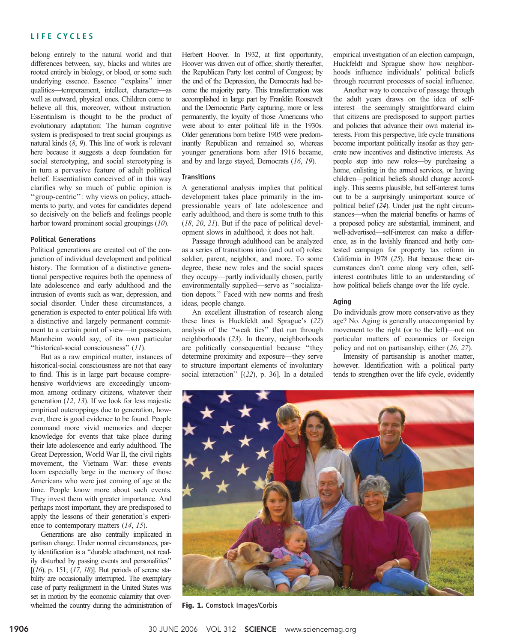### LIFE CYCLES

belong entirely to the natural world and that differences between, say, blacks and whites are rooted entirely in biology, or blood, or some such underlying essence. Essence ''explains'' inner qualities—temperament, intellect, character—as well as outward, physical ones. Children come to believe all this, moreover, without instruction. Essentialism is thought to be the product of evolutionary adaptation: The human cognitive system is predisposed to treat social groupings as natural kinds (8, 9). This line of work is relevant here because it suggests a deep foundation for social stereotyping, and social stereotyping is in turn a pervasive feature of adult political belief. Essentialism conceived of in this way clarifies why so much of public opinion is ''group-centric'': why views on policy, attachments to party, and votes for candidates depend so decisively on the beliefs and feelings people harbor toward prominent social groupings (10).

#### Political Generations

Political generations are created out of the conjunction of individual development and political history. The formation of a distinctive generational perspective requires both the openness of late adolescence and early adulthood and the intrusion of events such as war, depression, and social disorder. Under these circumstances, a generation is expected to enter political life with a distinctive and largely permanent commitment to a certain point of view—in possession, Mannheim would say, of its own particular ''historical-social consciousness'' (11).

But as a raw empirical matter, instances of historical-social consciousness are not that easy to find. This is in large part because comprehensive worldviews are exceedingly uncommon among ordinary citizens, whatever their generation (12, 13). If we look for less majestic empirical outcroppings due to generation, however, there is good evidence to be found. People command more vivid memories and deeper knowledge for events that take place during their late adolescence and early adulthood. The Great Depression, World War II, the civil rights movement, the Vietnam War: these events loom especially large in the memory of those Americans who were just coming of age at the time. People know more about such events. They invest them with greater importance. And perhaps most important, they are predisposed to apply the lessons of their generation's experience to contemporary matters (14, 15).

Generations are also centrally implicated in partisan change. Under normal circumstances, party identification is a ''durable attachment, not readily disturbed by passing events and personalities''  $[(16), p. 151; (17, 18)]$ . But periods of serene stability are occasionally interrupted. The exemplary case of party realignment in the United States was set in motion by the economic calamity that overwhelmed the country during the administration of Herbert Hoover. In 1932, at first opportunity, Hoover was driven out of office; shortly thereafter, the Republican Party lost control of Congress; by the end of the Depression, the Democrats had become the majority party. This transformation was accomplished in large part by Franklin Roosevelt and the Democratic Party capturing, more or less permanently, the loyalty of those Americans who were about to enter political life in the 1930s. Older generations born before 1905 were predominantly Republican and remained so, whereas younger generations born after 1916 became, and by and large stayed, Democrats (16, 19).

#### **Transitions**

A generational analysis implies that political development takes place primarily in the impressionable years of late adolescence and early adulthood, and there is some truth to this  $(18, 20, 21)$ . But if the pace of political development slows in adulthood, it does not halt.

Passage through adulthood can be analyzed as a series of transitions into (and out of) roles: soldier, parent, neighbor, and more. To some degree, these new roles and the social spaces they occupy—partly individually chosen, partly environmentally supplied—serve as ''socialization depots.'' Faced with new norms and fresh ideas, people change.

An excellent illustration of research along these lines is Huckfeldt and Sprague's (22) analysis of the ''weak ties'' that run through neighborhoods (23). In theory, neighborhoods are politically consequential because ''they determine proximity and exposure—they serve to structure important elements of involuntary social interaction" [(22), p. 36]. In a detailed

empirical investigation of an election campaign, Huckfeldt and Sprague show how neighborhoods influence individuals' political beliefs through recurrent processes of social influence.

Another way to conceive of passage through the adult years draws on the idea of selfinterest—the seemingly straightforward claim that citizens are predisposed to support parties and policies that advance their own material interests. From this perspective, life cycle transitions become important politically insofar as they generate new incentives and distinctive interests. As people step into new roles—by purchasing a home, enlisting in the armed services, or having children—political beliefs should change accordingly. This seems plausible, but self-interest turns out to be a surprisingly unimportant source of political belief (24). Under just the right circumstances—when the material benefits or harms of a proposed policy are substantial, imminent, and well-advertised—self-interest can make a difference, as in the lavishly financed and hotly contested campaign for property tax reform in California in 1978 (25). But because these circumstances don't come along very often, selfinterest contributes little to an understanding of how political beliefs change over the life cycle.

### Aging

Do individuals grow more conservative as they age? No. Aging is generally unaccompanied by movement to the right (or to the left)—not on particular matters of economics or foreign policy and not on partisanship, either (26, 27).

Intensity of partisanship is another matter, however. Identification with a political party tends to strengthen over the life cycle, evidently



Fig. 1. Comstock Images/Corbis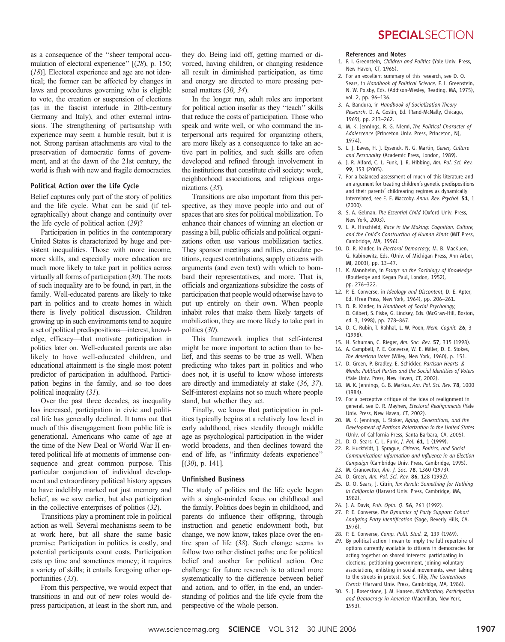**SPECIAL** SECTION

as a consequence of the ''sheer temporal accumulation of electoral experience'' [(28), p. 150; (18)]. Electoral experience and age are not identical; the former can be affected by changes in laws and procedures governing who is eligible to vote, the creation or suspension of elections (as in the fascist interlude in 20th-century Germany and Italy), and other external intrusions. The strengthening of partisanship with experience may seem a humble result, but it is not. Strong partisan attachments are vital to the preservation of democratic forms of government, and at the dawn of the 21st century, the world is flush with new and fragile democracies.

#### Political Action over the Life Cycle

Belief captures only part of the story of politics and the life cycle. What can be said (if telegraphically) about change and continuity over the life cycle of political action (29)?

Participation in politics in the contemporary United States is characterized by huge and persistent inequalities. Those with more income, more skills, and especially more education are much more likely to take part in politics across virtually all forms of participation (30). The roots of such inequality are to be found, in part, in the family. Well-educated parents are likely to take part in politics and to create homes in which there is lively political discussion. Children growing up in such environments tend to acquire a set of political predispositions—interest, knowledge, efficacy—that motivate participation in politics later on. Well-educated parents are also likely to have well-educated children, and educational attainment is the single most potent predictor of participation in adulthood. Participation begins in the family, and so too does political inequality (31).

Over the past three decades, as inequality has increased, participation in civic and political life has generally declined. It turns out that much of this disengagement from public life is generational. Americans who came of age at the time of the New Deal or World War II entered political life at moments of immense consequence and great common purpose. This particular conjunction of individual development and extraordinary political history appears to have indelibly marked not just memory and belief, as we saw earlier, but also participation in the collective enterprises of politics (32).

Transitions play a prominent role in political action as well. Several mechanisms seem to be at work here, but all share the same basic premise: Participation in politics is costly, and potential participants count costs. Participation eats up time and sometimes money; it requires a variety of skills; it entails foregoing other opportunities (33).

From this perspective, we would expect that transitions in and out of new roles would depress participation, at least in the short run, and

they do. Being laid off, getting married or divorced, having children, or changing residence all result in diminished participation, as time and energy are directed to more pressing personal matters (30, 34).

In the longer run, adult roles are important for political action insofar as they ''teach'' skills that reduce the costs of participation. Those who speak and write well, or who command the interpersonal arts required for organizing others, are more likely as a consequence to take an active part in politics, and such skills are often developed and refined through involvement in the institutions that constitute civil society: work, neighborhood associations, and religious organizations (35).

Transitions are also important from this perspective, as they move people into and out of spaces that are sites for political mobilization. To enhance their chances of winning an election or passing a bill, public officials and political organizations often use various mobilization tactics. They sponsor meetings and rallies, circulate petitions, request contributions, supply citizens with arguments (and even text) with which to bombard their representatives, and more. That is, officials and organizations subsidize the costs of participation that people would otherwise have to put up entirely on their own. When people inhabit roles that make them likely targets of mobilization, they are more likely to take part in politics (30).

This framework implies that self-interest might be more important to action than to belief, and this seems to be true as well. When predicting who takes part in politics and who does not, it is useful to know whose interests are directly and immediately at stake (36, 37). Self-interest explains not so much where people stand, but whether they act.

Finally, we know that participation in politics typically begins at a relatively low level in early adulthood, rises steadily through middle age as psychological participation in the wider world broadens, and then declines toward the end of life, as ''infirmity defeats experience''  $[(30), p. 141].$ 

#### Unfinished Business

The study of politics and the life cycle began with a single-minded focus on childhood and the family. Politics does begin in childhood, and parents do influence their offspring, through instruction and genetic endowment both, but change, we now know, takes place over the entire span of life (38). Such change seems to follow two rather distinct paths: one for political belief and another for political action. One challenge for future research is to attend more systematically to the difference between belief and action, and to offer, in the end, an understanding of politics and the life cycle from the perspective of the whole person.

#### References and Notes

- 1. F. I. Greenstein, Children and Politics (Yale Univ. Press, New Haven, CT, 1965).
- 2. For an excellent summary of this research, see D. O. Sears, in Handbook of Political Science, F. I. Greenstein, N. W. Polsby, Eds. (Addison-Wesley, Reading, MA, 1975), vol. 2, pp. 96–136.
- 3. A. Bandura, in Handbook of Socialization Theory Research, D. A. Goslin, Ed. (Rand-McNally, Chicago, 1969), pp. 213–262.
- 4. M. K. Jennings, R. G. Niemi, The Political Character of Adolescence (Princeton Univ. Press, Princeton, NJ, 1974).
- 5. L. J. Eaves, H. J. Eysenck, N. G. Martin, Genes, Culture and Personality (Academic Press, London, 1989).
- 6. J. R. Alford, C. L. Funk, J. R. Hibbing, Am. Pol. Sci. Rev. 99, 153 (2005).
- 7. For a balanced assessment of much of this literature and an argument for treating children's genetic predispositions and their parents' childrearing regimes as dynamically interrelated, see E. E. Maccoby, Annu. Rev. Psychol. 51, 1 (2000).
- 8. S. A. Gelman, The Essential Child (Oxford Univ. Press, New York, 2003).
- 9. L. A. Hirschfeld, Race in the Making: Cognition, Culture, and the Child's Construction of Human Kinds (MIT Press, Cambridge, MA, 1996).
- 10. D. R. Kinder, in Electoral Democracy, M. B. MacKuen, G. Rabinowitz, Eds. (Univ. of Michigan Press, Ann Arbor, MI, 2003), pp. 13–47.
- 11. K. Mannheim, in Essays on the Sociology of Knowledge (Routledge and Kegan Paul, London, 1952), pp. 276–322.
- 12. P. E. Converse, in Ideology and Discontent, D. E. Apter, Ed. (Free Press, New York, 1964), pp. 206–261.
- 13. D. R. Kinder, in Handbook of Social Psychology, D. Gilbert, S. Fiske, G. Lindsey, Eds. (McGraw-Hill, Boston, ed. 3, 1998), pp. 778–867.
- 14. D. C. Rubin, T. Rahhal, L. W. Poon, Mem. Cognit. 26, 3 (1998).
- 15. H. Schuman, C. Rieger, Am. Soc. Rev. 57, 315 (1998).
- 16. A. Campbell, P. E. Converse, W. E. Miller, D. E. Stokes, The American Voter (Wiley, New York, 1960), p. 151.
- 17. D. Green, P. Bradley, E. Schickler, Partisan Hearts & Minds: Political Parties and the Social Identities of Voters (Yale Univ. Press, New Haven, CT, 2002).
- 18. M. K. Jennings, G. B. Markus, Am. Pol. Sci. Rev. 78, 1000 (1984).
- 19. For a perceptive critique of the idea of realignment in general, see D. R. Mayhew, Electoral Realignments (Yale Univ. Press, New Haven, CT, 2002).
- 20. M. K. Jennings, L. Stoker, Aging, Generations, and the Development of Partisan Polarization in the United States (Univ. of California Press, Santa Barbara, CA, 2005).
- 21. D. O. Sears, C. L. Funk, J. Pol. 61, 1 (1999).
- 22. R. Huckfeldt, J. Sprague, Citizens, Politics, and Social Communication: Information and Influence in an Election Campaign (Cambridge Univ. Press, Cambridge, 1995).
- 23. M. Granovetter, Am. J. Soc. 78, 1360 (1973). 24. D. Green, Am. Pol. Sci. Rev. 86, 128 (1992).
- 25. D. O. Sears, J. Citrin, Tax Revolt: Something for Nothing in California (Harvard Univ. Press, Cambridge, MA, 1982).
- 26. J. A. Davis, Pub. Opin. Q. 56, 261 (1992).
- 27. P. E. Converse, The Dynamics of Party Support: Cohort Analyzing Party Identification (Sage, Beverly Hills, CA, 1976).
- 28. P. E. Converse, Comp. Polit. Stud. 2, 139 (1969).
- 29. By political action I mean to imply the full repertoire of options currently available to citizens in democracies for acting together on shared interests: participating in elections, petitioning government, joining voluntary associations, enlisting in social movements, even taking to the streets in protest. See C. Tilly, The Contentious French (Harvard Univ. Press, Cambridge, MA, 1986).
- 30. S. J. Rosenstone, J. M. Hansen, Mobilization, Participation and Democracy in America (Macmillan, New York, 1993).